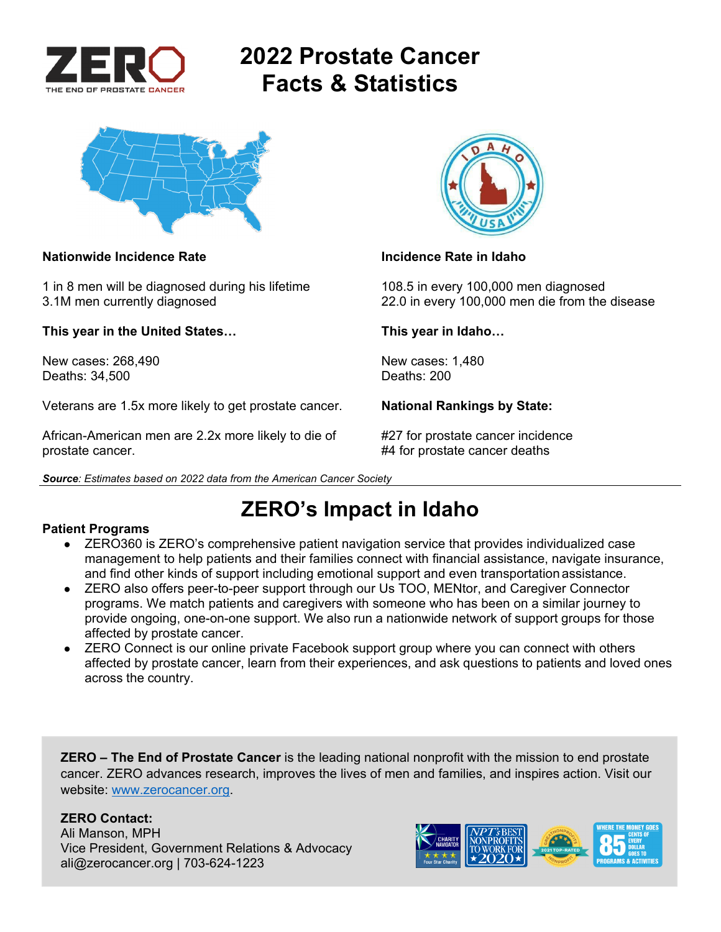

# **2022 Prostate Cancer Facts & Statistics**



#### **Nationwide Incidence Rate Incidence Rate in Idaho**

1 in 8 men will be diagnosed during his lifetime 108.5 in every 100,000 men diagnosed

**This year in the United States… This year in Idaho…** 

New cases: 268,490 New cases: 1,480 Deaths: 34,500

Veterans are 1.5x more likely to get prostate cancer. **National Rankings by State:** 

African-American men are 2.2x more likely to die of #27 for prostate cancer incidence prostate cancer. #4 for prostate cancer deaths

*Source: Estimates based on 2022 data from the American Cancer Society* 



3.1M men currently diagnosed 22.0 in every 100,000 men die from the disease

## **ZERO's Impact in Idaho**

#### **Patient Programs**

- ZERO360 is ZERO's comprehensive patient navigation service that provides individualized case management to help patients and their families connect with financial assistance, navigate insurance, and find other kinds of support including emotional support and even transportation assistance.
- ZERO also offers peer-to-peer support through our Us TOO, MENtor, and Caregiver Connector programs. We match patients and caregivers with someone who has been on a similar journey to provide ongoing, one-on-one support. We also run a nationwide network of support groups for those affected by prostate cancer.
- ZERO Connect is our online private Facebook support group where you can connect with others affected by prostate cancer, learn from their experiences, and ask questions to patients and loved ones across the country.

**ZERO – The End of Prostate Cancer** is the leading national nonprofit with the mission to end prostate cancer. ZERO advances research, improves the lives of men and families, and inspires action. Visit our website: www.zerocancer.org.

### **ZERO Contact:**

Ali Manson, MPH Vice President, Government Relations & Advocacy ali@zerocancer.org | 703-624-1223